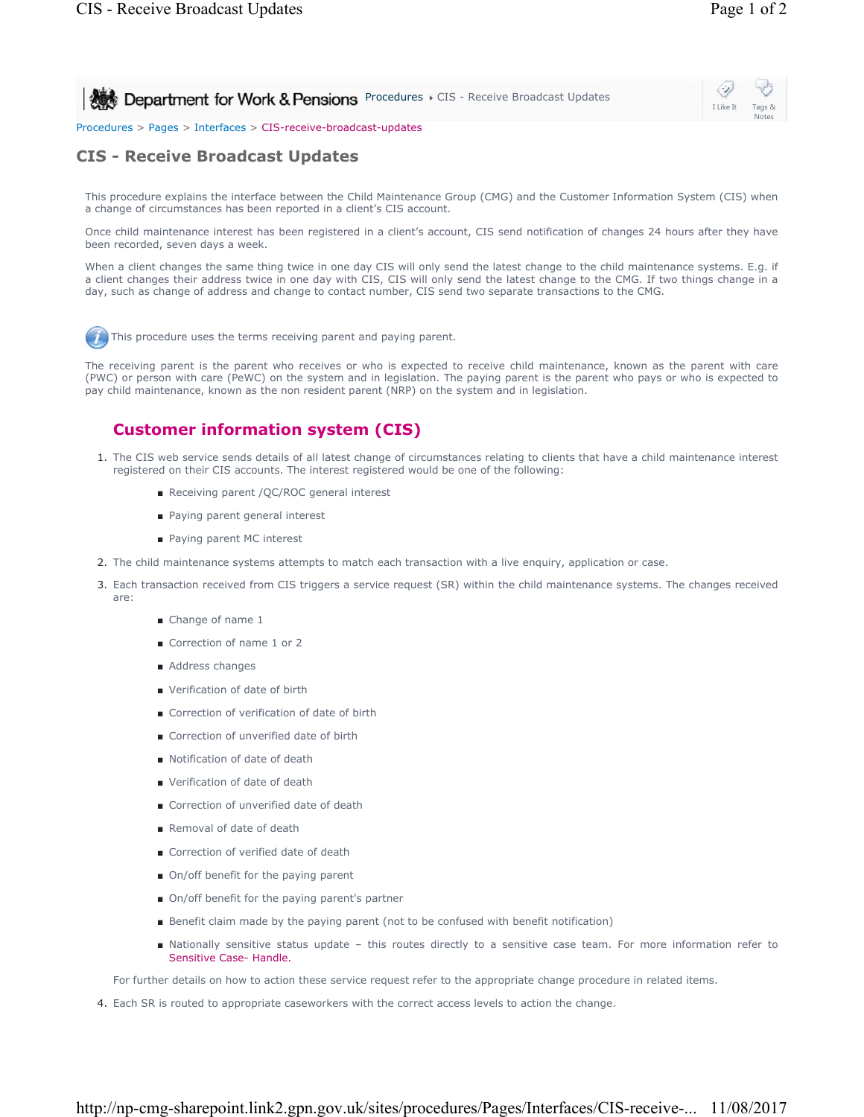Notes

⇔ **Procedures CIS - Receive Broadcast Updates** I Like It

## Procedures > Pages > Interfaces > CIS-receive-broadcast-updates

## **CIS - Receive Broadcast Updates**

This procedure explains the interface between the Child Maintenance Group (CMG) and the Customer Information System (CIS) when a change of circumstances has been reported in a client's CIS account.

Once child maintenance interest has been registered in a client's account, CIS send notification of changes 24 hours after they have been recorded, seven days a week.

When a client changes the same thing twice in one day CIS will only send the latest change to the child maintenance systems. E.g. if a client changes their address twice in one day with CIS, CIS will only send the latest change to the CMG. If two things change in a day, such as change of address and change to contact number, CIS send two separate transactions to the CMG.

This procedure uses the terms receiving parent and paying parent.

The receiving parent is the parent who receives or who is expected to receive child maintenance, known as the parent with care (PWC) or person with care (PeWC) on the system and in legislation. The paying parent is the parent who pays or who is expected to pay child maintenance, known as the non resident parent (NRP) on the system and in legislation.

## **Customer information system (CIS)**

- 1. The CIS web service sends details of all latest change of circumstances relating to clients that have a child maintenance interest registered on their CIS accounts. The interest registered would be one of the following:
	- Receiving parent / QC/ROC general interest
	- Paying parent general interest
	- Paying parent MC interest
- 2. The child maintenance systems attempts to match each transaction with a live enquiry, application or case.
- Each transaction received from CIS triggers a service request (SR) within the child maintenance systems. The changes received 3. are:
	- Change of name 1
	- Correction of name 1 or 2
	- Address changes
	- Verification of date of birth
	- Correction of verification of date of birth
	- Correction of unverified date of birth
	- Notification of date of death
	- Verification of date of death
	- Correction of unverified date of death
	- Removal of date of death
	- Correction of verified date of death
	- On/off benefit for the paying parent
	- On/off benefit for the paying parent's partner
	- Benefit claim made by the paying parent (not to be confused with benefit notification)
	- Nationally sensitive status update this routes directly to a sensitive case team. For more information refer to Sensitive Case- Handle.

For further details on how to action these service request refer to the appropriate change procedure in related items.

4. Each SR is routed to appropriate caseworkers with the correct access levels to action the change.